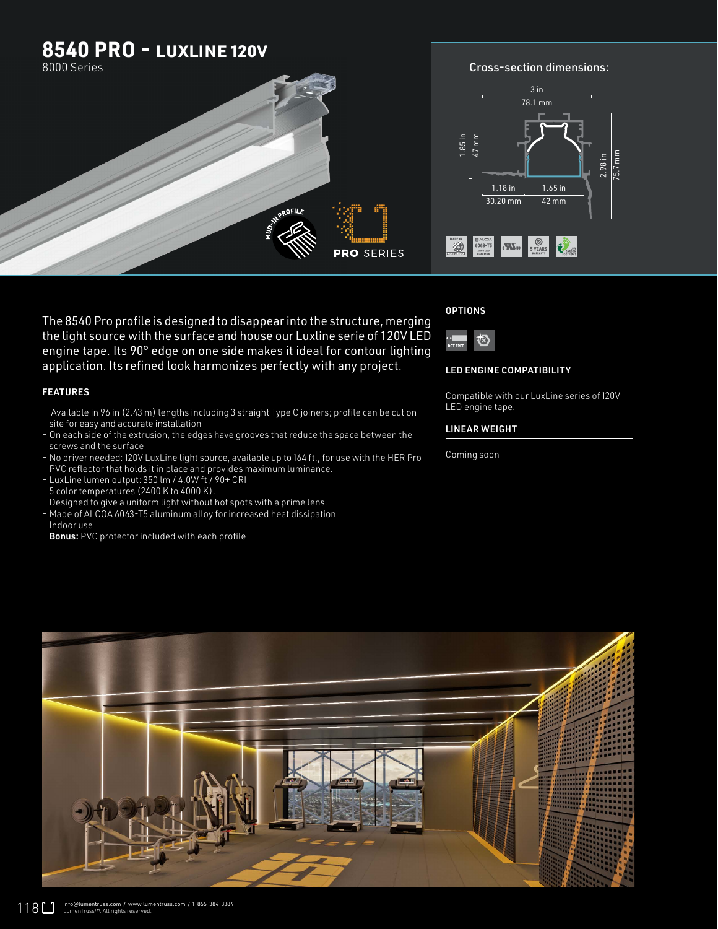

The 8540 Pro profile is designed to disappear into the structure, merging the light source with the surface and house our Luxline serie of 120V LED engine tape. Its 90° edge on one side makes it ideal for contour lighting application. Its refined look harmonizes perfectly with any project.

#### FEATURES

- Available in 96 in (2.43 m) lengths including 3 straight Type C joiners; profile can be cut onsite for easy and accurate installation
- On each side of the extrusion, the edges have grooves that reduce the space between the screws and the surface
- No driver needed: 120V LuxLine light source, available up to 164 ft., for use with the HER Pro PVC reflector that holds it in place and provides maximum luminance.
- LuxLine lumen output: 350 lm / 4.0W ft / 90+ CRI
- 5 color temperatures (2400 K to 4000 K).
- Designed to give a uniform light without hot spots with a prime lens.
- Made of ALCOA 6063-T5 aluminum alloy for increased heat dissipation
- Indoor use
- Bonus: PVC protector included with each profile

### **OPTIONS**



#### LED ENGINE COMPATIBILITY

Compatible with our LuxLine series of 120V LED engine tape.

#### LINEAR WEIGHT

Coming soon

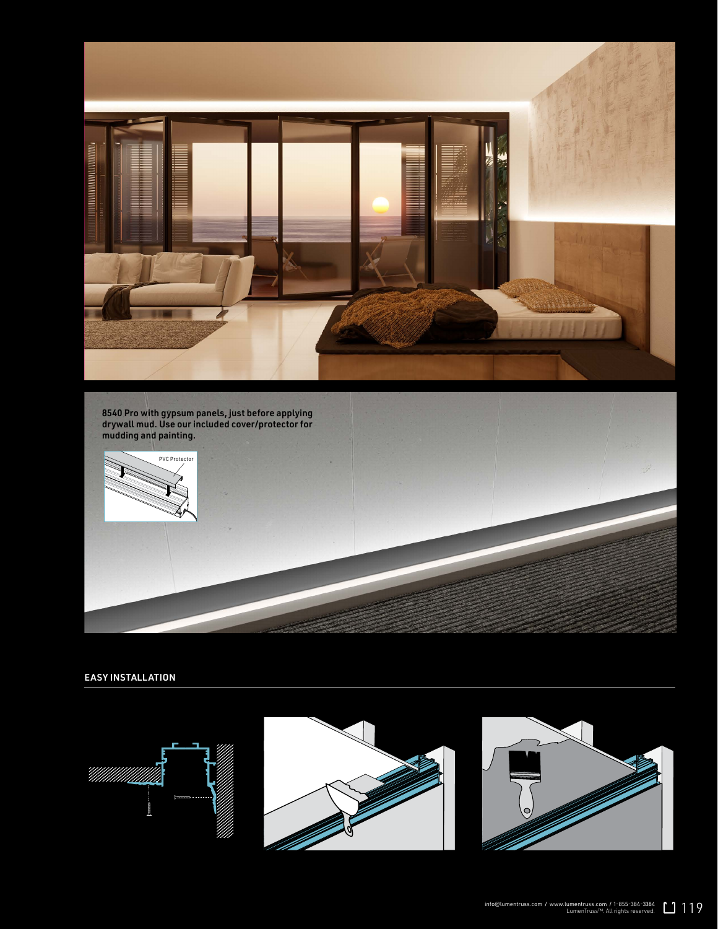



## EASY INSTALLATION

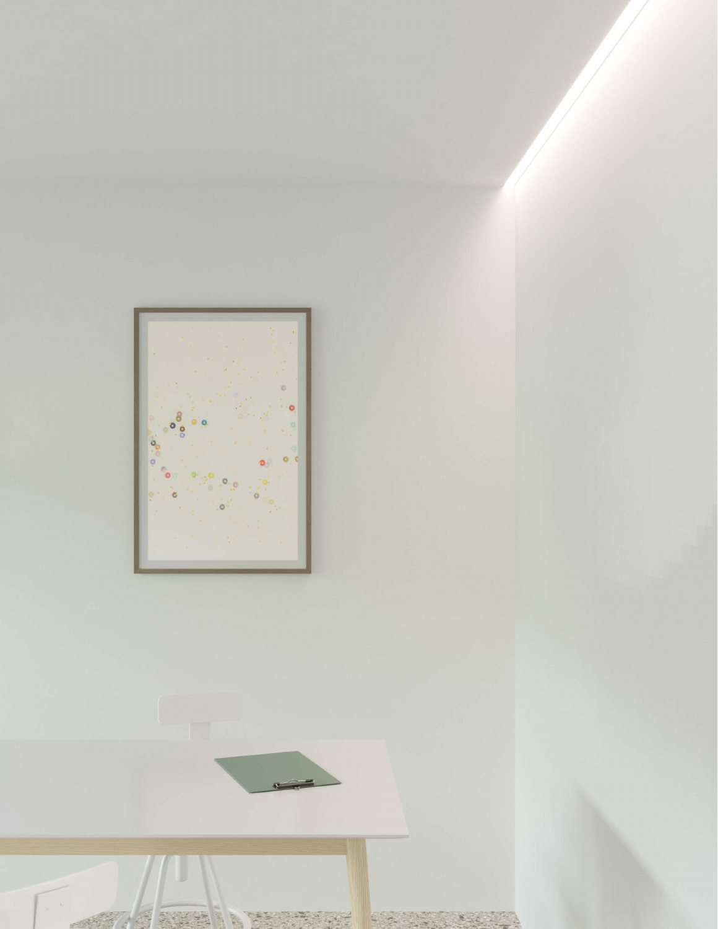